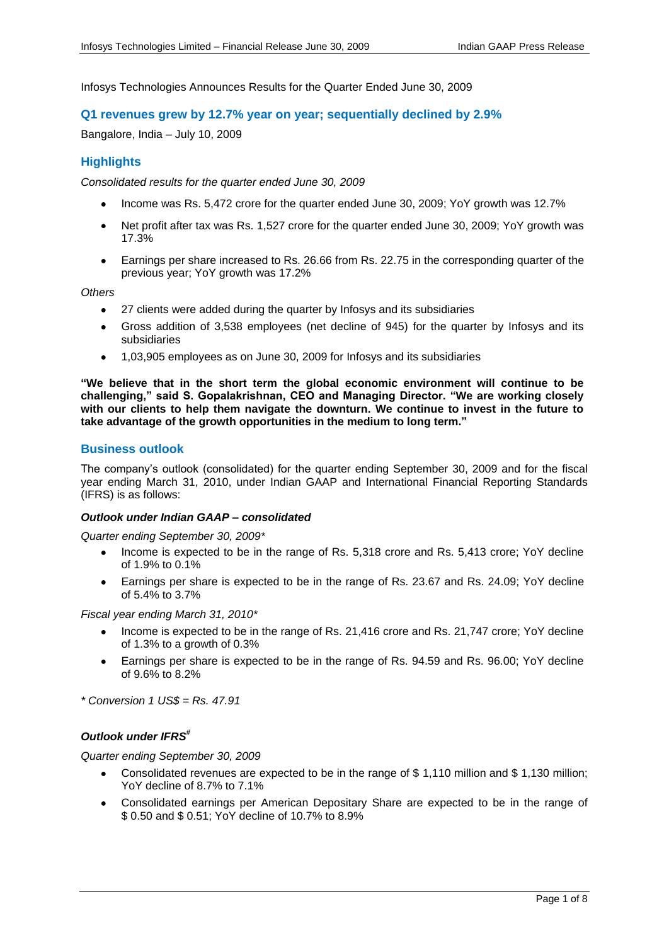Infosys Technologies Announces Results for the Quarter Ended June 30, 2009

### **Q1 revenues grew by 12.7% year on year; sequentially declined by 2.9%**

Bangalore, India – July 10, 2009

# **Highlights**

*Consolidated results for the quarter ended June 30, 2009*

- Income was Rs. 5,472 crore for the quarter ended June 30, 2009; YoY growth was 12.7%
- $\bullet$ Net profit after tax was Rs. 1,527 crore for the quarter ended June 30, 2009; YoY growth was 17.3%
- $\bullet$ Earnings per share increased to Rs. 26.66 from Rs. 22.75 in the corresponding quarter of the previous year; YoY growth was 17.2%

*Others*

- 27 clients were added during the quarter by Infosys and its subsidiaries
- Gross addition of 3,538 employees (net decline of 945) for the quarter by Infosys and its  $\bullet$ subsidiaries
- 1,03,905 employees as on June 30, 2009 for Infosys and its subsidiaries  $\bullet$

**"We believe that in the short term the global economic environment will continue to be challenging," said S. Gopalakrishnan, CEO and Managing Director. "We are working closely with our clients to help them navigate the downturn. We continue to invest in the future to take advantage of the growth opportunities in the medium to long term."**

## **Business outlook**

The company's outlook (consolidated) for the quarter ending September 30, 2009 and for the fiscal year ending March 31, 2010, under Indian GAAP and International Financial Reporting Standards (IFRS) is as follows:

#### *Outlook under Indian GAAP – consolidated*

#### *Quarter ending September 30, 2009\**

- Income is expected to be in the range of Rs. 5,318 crore and Rs. 5,413 crore; YoY decline of 1.9% to 0.1%
- Earnings per share is expected to be in the range of Rs. 23.67 and Rs. 24.09; YoY decline  $\bullet$ of 5.4% to 3.7%

#### *Fiscal year ending March 31, 2010\**

- Income is expected to be in the range of Rs. 21,416 crore and Rs. 21,747 crore; YoY decline  $\bullet$ of 1.3% to a growth of 0.3%
- Earnings per share is expected to be in the range of Rs. 94.59 and Rs. 96.00; YoY decline of 9.6% to 8.2%

*\* Conversion 1 US\$ = Rs. 47.91*

## *Outlook under IFRS#*

*Quarter ending September 30, 2009*

- Consolidated revenues are expected to be in the range of \$ 1,110 million and \$ 1,130 million; YoY decline of 8.7% to 7.1%
- Consolidated earnings per American Depositary Share are expected to be in the range of \$ 0.50 and \$ 0.51; YoY decline of 10.7% to 8.9%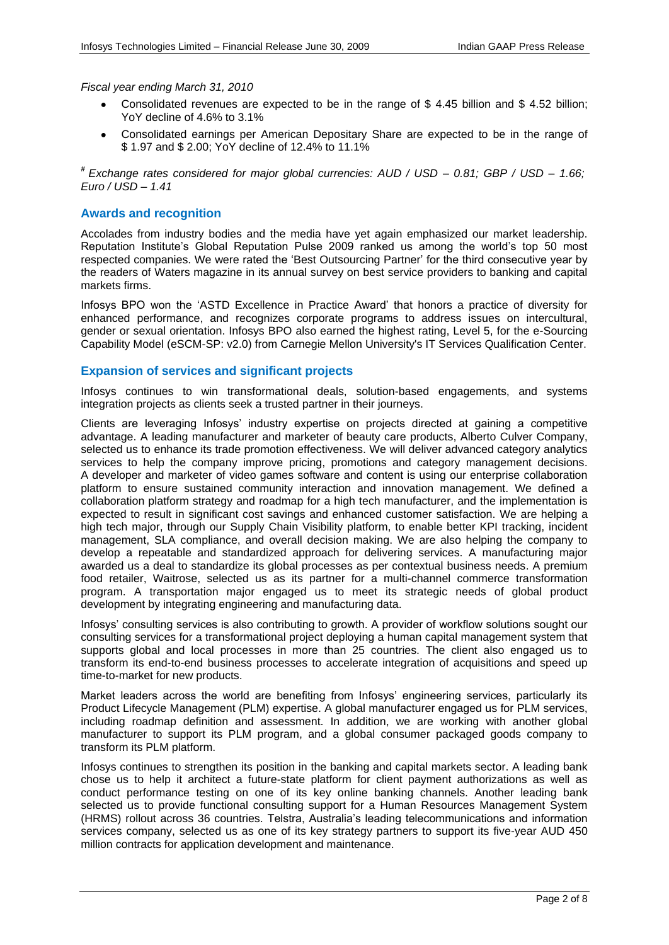*Fiscal year ending March 31, 2010*

- $\bullet$ Consolidated revenues are expected to be in the range of \$ 4.45 billion and \$ 4.52 billion; YoY decline of 4.6% to 3.1%
- Consolidated earnings per American Depositary Share are expected to be in the range of \$ 1.97 and \$ 2.00; YoY decline of 12.4% to 11.1%

*# Exchange rates considered for major global currencies: AUD / USD – 0.81; GBP / USD – 1.66; Euro / USD – 1.41*

#### **Awards and recognition**

Accolades from industry bodies and the media have yet again emphasized our market leadership. Reputation Institute's Global Reputation Pulse 2009 ranked us among the world's top 50 most respected companies. We were rated the 'Best Outsourcing Partner' for the third consecutive year by the readers of Waters magazine in its annual survey on best service providers to banking and capital markets firms.

Infosys BPO won the 'ASTD Excellence in Practice Award' that honors a practice of diversity for enhanced performance, and recognizes corporate programs to address issues on intercultural, gender or sexual orientation. Infosys BPO also earned the highest rating, Level 5, for the e-Sourcing Capability Model (eSCM-SP: v2.0) from Carnegie Mellon University's IT Services Qualification Center.

#### **Expansion of services and significant projects**

Infosys continues to win transformational deals, solution-based engagements, and systems integration projects as clients seek a trusted partner in their journeys.

Clients are leveraging Infosys' industry expertise on projects directed at gaining a competitive advantage. A leading manufacturer and marketer of beauty care products, Alberto Culver Company, selected us to enhance its trade promotion effectiveness. We will deliver advanced category analytics services to help the company improve pricing, promotions and category management decisions. A developer and marketer of video games software and content is using our enterprise collaboration platform to ensure sustained community interaction and innovation management. We defined a collaboration platform strategy and roadmap for a high tech manufacturer, and the implementation is expected to result in significant cost savings and enhanced customer satisfaction. We are helping a high tech major, through our Supply Chain Visibility platform, to enable better KPI tracking, incident management, SLA compliance, and overall decision making. We are also helping the company to develop a repeatable and standardized approach for delivering services. A manufacturing major awarded us a deal to standardize its global processes as per contextual business needs. A premium food retailer, Waitrose, selected us as its partner for a multi-channel commerce transformation program. A transportation major engaged us to meet its strategic needs of global product development by integrating engineering and manufacturing data.

Infosys' consulting services is also contributing to growth. A provider of workflow solutions sought our consulting services for a transformational project deploying a human capital management system that supports global and local processes in more than 25 countries. The client also engaged us to transform its end-to-end business processes to accelerate integration of acquisitions and speed up time-to-market for new products.

Market leaders across the world are benefiting from Infosys' engineering services, particularly its Product Lifecycle Management (PLM) expertise. A global manufacturer engaged us for PLM services, including roadmap definition and assessment. In addition, we are working with another global manufacturer to support its PLM program, and a global consumer packaged goods company to transform its PLM platform.

Infosys continues to strengthen its position in the banking and capital markets sector. A leading bank chose us to help it architect a future-state platform for client payment authorizations as well as conduct performance testing on one of its key online banking channels. Another leading bank selected us to provide functional consulting support for a Human Resources Management System (HRMS) rollout across 36 countries. Telstra, Australia's leading telecommunications and information services company, selected us as one of its key strategy partners to support its five-year AUD 450 million contracts for application development and maintenance.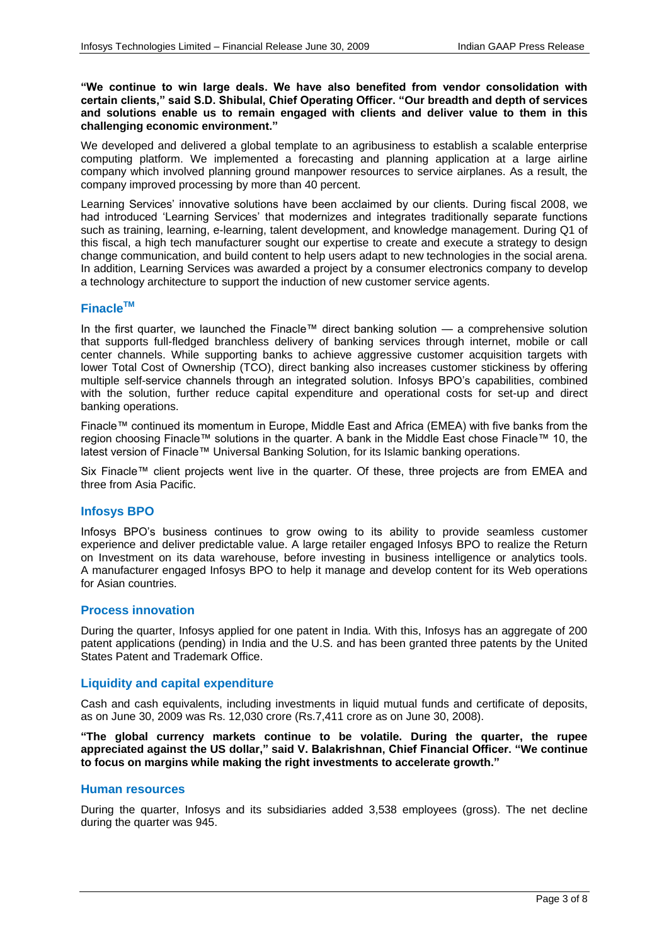**"We continue to win large deals. We have also benefited from vendor consolidation with certain clients," said S.D. Shibulal, Chief Operating Officer. "Our breadth and depth of services and solutions enable us to remain engaged with clients and deliver value to them in this challenging economic environment."**

We developed and delivered a global template to an agribusiness to establish a scalable enterprise computing platform. We implemented a forecasting and planning application at a large airline company which involved planning ground manpower resources to service airplanes. As a result, the company improved processing by more than 40 percent.

Learning Services' innovative solutions have been acclaimed by our clients. During fiscal 2008, we had introduced 'Learning Services' that modernizes and integrates traditionally separate functions such as training, learning, e-learning, talent development, and knowledge management. During Q1 of this fiscal, a high tech manufacturer sought our expertise to create and execute a strategy to design change communication, and build content to help users adapt to new technologies in the social arena. In addition, Learning Services was awarded a project by a consumer electronics company to develop a technology architecture to support the induction of new customer service agents.

# **FinacleTM**

In the first quarter, we launched the Finacle™ direct banking solution — a comprehensive solution that supports full-fledged branchless delivery of banking services through internet, mobile or call center channels. While supporting banks to achieve aggressive customer acquisition targets with lower Total Cost of Ownership (TCO), direct banking also increases customer stickiness by offering multiple self-service channels through an integrated solution. Infosys BPO's capabilities, combined with the solution, further reduce capital expenditure and operational costs for set-up and direct banking operations.

Finacle™ continued its momentum in Europe, Middle East and Africa (EMEA) with five banks from the region choosing Finacle™ solutions in the quarter. A bank in the Middle East chose Finacle™ 10, the latest version of Finacle™ Universal Banking Solution, for its Islamic banking operations.

Six Finacle™ client projects went live in the quarter. Of these, three projects are from EMEA and three from Asia Pacific.

## **Infosys BPO**

Infosys BPO's business continues to grow owing to its ability to provide seamless customer experience and deliver predictable value. A large retailer engaged Infosys BPO to realize the Return on Investment on its data warehouse, before investing in business intelligence or analytics tools. A manufacturer engaged Infosys BPO to help it manage and develop content for its Web operations for Asian countries.

#### **Process innovation**

During the quarter, Infosys applied for one patent in India. With this, Infosys has an aggregate of 200 patent applications (pending) in India and the U.S. and has been granted three patents by the United States Patent and Trademark Office.

#### **Liquidity and capital expenditure**

Cash and cash equivalents, including investments in liquid mutual funds and certificate of deposits, as on June 30, 2009 was Rs. 12,030 crore (Rs.7,411 crore as on June 30, 2008).

**"The global currency markets continue to be volatile. During the quarter, the rupee appreciated against the US dollar," said V. Balakrishnan, Chief Financial Officer. "We continue to focus on margins while making the right investments to accelerate growth."**

#### **Human resources**

During the quarter, Infosys and its subsidiaries added 3,538 employees (gross). The net decline during the quarter was 945.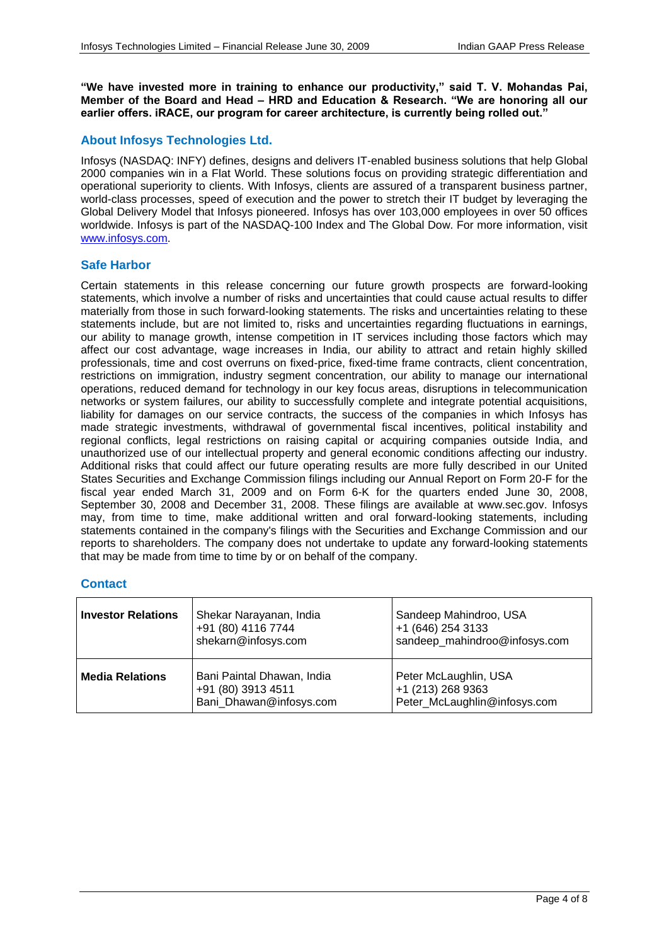**"We have invested more in training to enhance our productivity," said T. V. Mohandas Pai, Member of the Board and Head – HRD and Education & Research. "We are honoring all our earlier offers. iRACE, our program for career architecture, is currently being rolled out."**

# **About Infosys Technologies Ltd.**

Infosys (NASDAQ: INFY) defines, designs and delivers IT-enabled business solutions that help Global 2000 companies win in a Flat World. These solutions focus on providing strategic differentiation and operational superiority to clients. With Infosys, clients are assured of a transparent business partner, world-class processes, speed of execution and the power to stretch their IT budget by leveraging the Global Delivery Model that Infosys pioneered. Infosys has over 103,000 employees in over 50 offices worldwide. Infosys is part of the NASDAQ-100 Index and The Global Dow. For more information, visit [www.infosys.com.](http://www.infosys.com/)

## **Safe Harbor**

Certain statements in this release concerning our future growth prospects are forward-looking statements, which involve a number of risks and uncertainties that could cause actual results to differ materially from those in such forward-looking statements. The risks and uncertainties relating to these statements include, but are not limited to, risks and uncertainties regarding fluctuations in earnings, our ability to manage growth, intense competition in IT services including those factors which may affect our cost advantage, wage increases in India, our ability to attract and retain highly skilled professionals, time and cost overruns on fixed-price, fixed-time frame contracts, client concentration, restrictions on immigration, industry segment concentration, our ability to manage our international operations, reduced demand for technology in our key focus areas, disruptions in telecommunication networks or system failures, our ability to successfully complete and integrate potential acquisitions, liability for damages on our service contracts, the success of the companies in which Infosys has made strategic investments, withdrawal of governmental fiscal incentives, political instability and regional conflicts, legal restrictions on raising capital or acquiring companies outside India, and unauthorized use of our intellectual property and general economic conditions affecting our industry. Additional risks that could affect our future operating results are more fully described in our United States Securities and Exchange Commission filings including our Annual Report on Form 20-F for the fiscal year ended March 31, 2009 and on Form 6-K for the quarters ended June 30, 2008, September 30, 2008 and December 31, 2008. These filings are available at www.sec.gov. Infosys may, from time to time, make additional written and oral forward-looking statements, including statements contained in the company's filings with the Securities and Exchange Commission and our reports to shareholders. The company does not undertake to update any forward-looking statements that may be made from time to time by or on behalf of the company.

# **Contact**

| <b>Investor Relations</b> | Shekar Narayanan, India<br>+91 (80) 4116 7744<br>shekarn@infosys.com        | Sandeep Mahindroo, USA<br>+1 (646) 254 3133<br>sandeep_mahindroo@infosys.com |
|---------------------------|-----------------------------------------------------------------------------|------------------------------------------------------------------------------|
| <b>Media Relations</b>    | Bani Paintal Dhawan, India<br>+91 (80) 3913 4511<br>Bani_Dhawan@infosys.com | Peter McLaughlin, USA<br>+1 (213) 268 9363<br>Peter_McLaughlin@infosys.com   |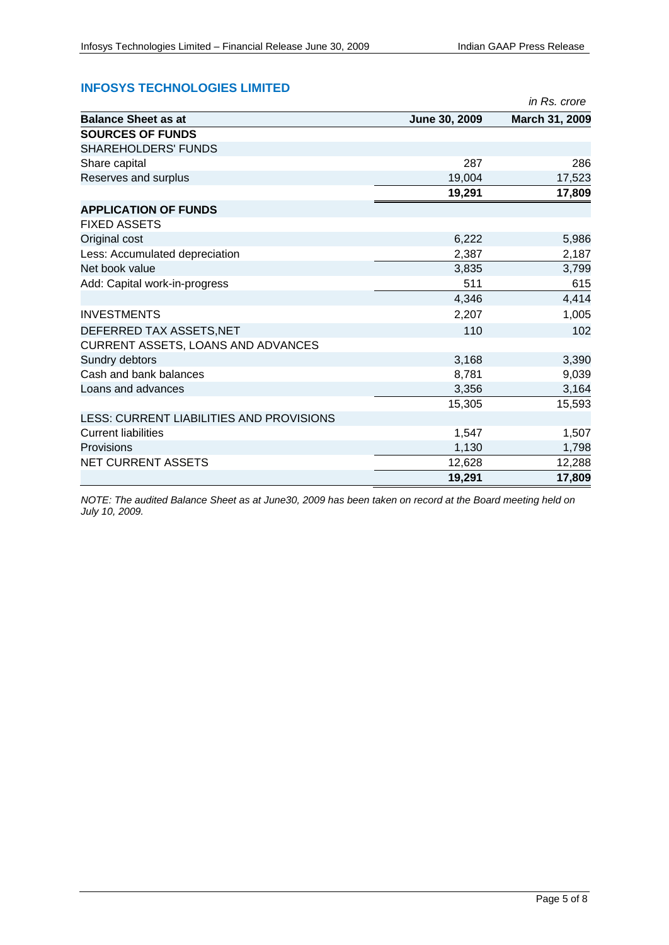# **INFOSYS TECHNOLOGIES LIMITED**

|                                          |               | in Rs. crore   |
|------------------------------------------|---------------|----------------|
| <b>Balance Sheet as at</b>               | June 30, 2009 | March 31, 2009 |
| <b>SOURCES OF FUNDS</b>                  |               |                |
| <b>SHAREHOLDERS' FUNDS</b>               |               |                |
| Share capital                            | 287           | 286            |
| Reserves and surplus                     | 19,004        | 17,523         |
|                                          | 19,291        | 17,809         |
| <b>APPLICATION OF FUNDS</b>              |               |                |
| <b>FIXED ASSETS</b>                      |               |                |
| Original cost                            | 6,222         | 5,986          |
| Less: Accumulated depreciation           | 2,387         | 2,187          |
| Net book value                           | 3,835         | 3,799          |
| Add: Capital work-in-progress            | 511           | 615            |
|                                          | 4,346         | 4,414          |
| <b>INVESTMENTS</b>                       | 2,207         | 1,005          |
| DEFERRED TAX ASSETS, NET                 | 110           | 102            |
| CURRENT ASSETS, LOANS AND ADVANCES       |               |                |
| Sundry debtors                           | 3,168         | 3,390          |
| Cash and bank balances                   | 8,781         | 9,039          |
| Loans and advances                       | 3,356         | 3,164          |
|                                          | 15,305        | 15,593         |
| LESS: CURRENT LIABILITIES AND PROVISIONS |               |                |
| <b>Current liabilities</b>               | 1,547         | 1,507          |
| Provisions                               | 1,130         | 1,798          |
| NET CURRENT ASSETS                       | 12,628        | 12,288         |
|                                          | 19,291        | 17,809         |

*NOTE: The audited Balance Sheet as at June30, 2009 has been taken on record at the Board meeting held on July 10, 2009.*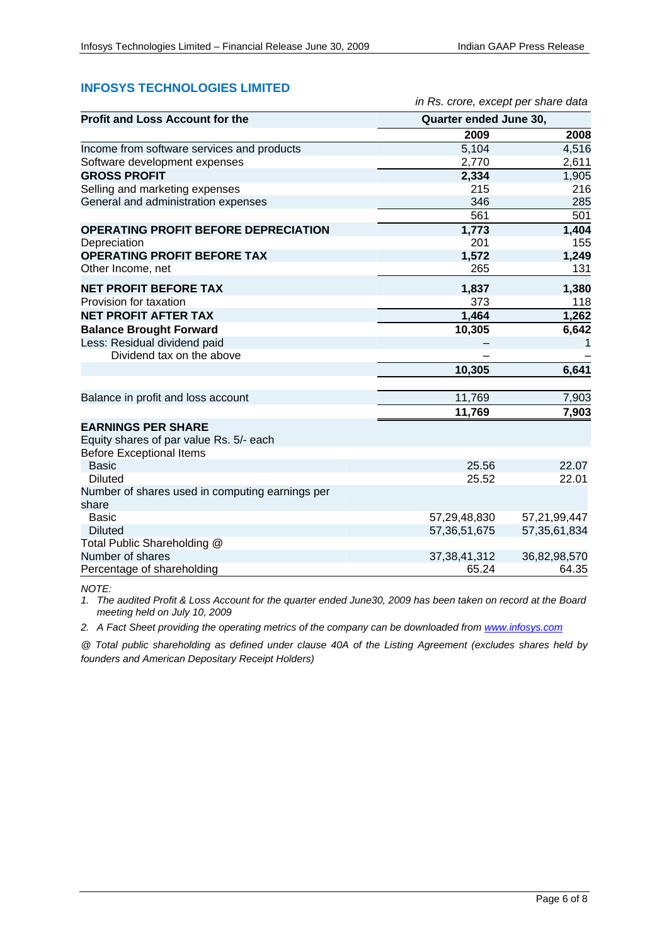# **INFOSYS TECHNOLOGIES LIMITED**

|                                                                      | in Rs. crore, except per share data |                 |
|----------------------------------------------------------------------|-------------------------------------|-----------------|
| <b>Profit and Loss Account for the</b>                               | Quarter ended June 30,              |                 |
|                                                                      | 2009                                | 2008            |
| Income from software services and products                           | 5,104                               | 4,516           |
| Software development expenses                                        | 2,770                               | 2,611           |
| <b>GROSS PROFIT</b>                                                  | 2,334                               | 1,905           |
| Selling and marketing expenses                                       | 215                                 | 216             |
| General and administration expenses                                  | 346                                 | 285             |
|                                                                      | 561                                 | 501             |
| <b>OPERATING PROFIT BEFORE DEPRECIATION</b>                          | 1,773                               | 1,404           |
| Depreciation                                                         | 201                                 | 155             |
| <b>OPERATING PROFIT BEFORE TAX</b>                                   | 1,572                               | 1,249           |
| Other Income, net                                                    | 265                                 | 131             |
| <b>NET PROFIT BEFORE TAX</b>                                         | 1,837                               | 1,380           |
| Provision for taxation                                               | 373                                 | 118             |
| <b>NET PROFIT AFTER TAX</b>                                          | 1,464                               | 1,262           |
| <b>Balance Brought Forward</b>                                       | 10,305                              | 6,642           |
| Less: Residual dividend paid                                         |                                     | 1               |
| Dividend tax on the above                                            |                                     |                 |
|                                                                      | 10,305                              | 6,641           |
|                                                                      |                                     |                 |
| Balance in profit and loss account                                   | 11,769                              | 7,903           |
|                                                                      | 11,769                              | 7,903           |
| <b>EARNINGS PER SHARE</b><br>Equity shares of par value Rs. 5/- each |                                     |                 |
| <b>Before Exceptional Items</b>                                      |                                     |                 |
| <b>Basic</b>                                                         | 25.56                               | 22.07           |
| <b>Diluted</b>                                                       | 25.52                               | 22.01           |
| Number of shares used in computing earnings per<br>share             |                                     |                 |
| <b>Basic</b>                                                         | 57,29,48,830                        | 57,21,99,447    |
| <b>Diluted</b>                                                       | 57, 36, 51, 675                     | 57, 35, 61, 834 |
| Total Public Shareholding @                                          |                                     |                 |
| Number of shares                                                     | 37, 38, 41, 312                     | 36,82,98,570    |
| Percentage of shareholding                                           | 65.24                               | 64.35           |

*NOTE:* 

*1. The audited Profit & Loss Account for the quarter ended June30, 2009 has been taken on record at the Board meeting held on July 10, 2009*

*2. A Fact Sheet providing the operating metrics of the company can be downloaded fro[m www.infosys.com](http://www.infosys.com/)*

*@ Total public shareholding as defined under clause 40A of the Listing Agreement (excludes shares held by founders and American Depositary Receipt Holders)*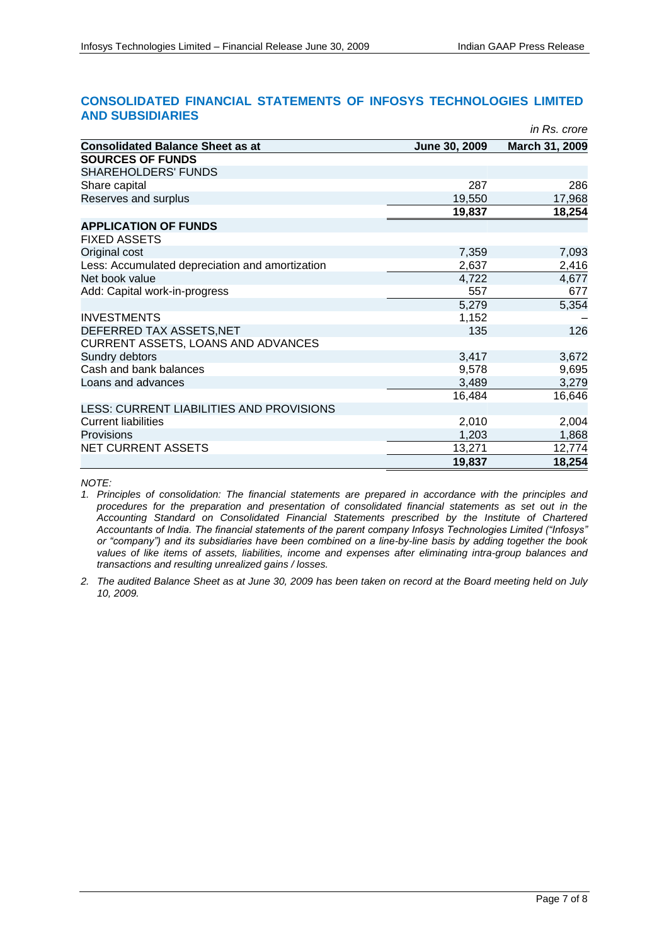# **CONSOLIDATED FINANCIAL STATEMENTS OF INFOSYS TECHNOLOGIES LIMITED AND SUBSIDIARIES**

|                                                 |               | in Rs. crore   |
|-------------------------------------------------|---------------|----------------|
| <b>Consolidated Balance Sheet as at</b>         | June 30, 2009 | March 31, 2009 |
| <b>SOURCES OF FUNDS</b>                         |               |                |
| <b>SHAREHOLDERS' FUNDS</b>                      |               |                |
| Share capital                                   | 287           | 286            |
| Reserves and surplus                            | 19,550        | 17,968         |
|                                                 | 19,837        | 18,254         |
| <b>APPLICATION OF FUNDS</b>                     |               |                |
| <b>FIXED ASSETS</b>                             |               |                |
| Original cost                                   | 7,359         | 7,093          |
| Less: Accumulated depreciation and amortization | 2,637         | 2,416          |
| Net book value                                  | 4,722         | 4,677          |
| Add: Capital work-in-progress                   | 557           | 677            |
|                                                 | 5,279         | 5,354          |
| <b>INVESTMENTS</b>                              | 1,152         |                |
| DEFERRED TAX ASSETS, NET                        | 135           | 126            |
| CURRENT ASSETS, LOANS AND ADVANCES              |               |                |
| Sundry debtors                                  | 3,417         | 3,672          |
| Cash and bank balances                          | 9,578         | 9,695          |
| Loans and advances                              | 3,489         | 3,279          |
|                                                 | 16,484        | 16,646         |
| LESS: CURRENT LIABILITIES AND PROVISIONS        |               |                |
| <b>Current liabilities</b>                      | 2,010         | 2,004          |
| <b>Provisions</b>                               | 1,203         | 1,868          |
| <b>NET CURRENT ASSETS</b>                       | 13,271        | 12,774         |
|                                                 | 19,837        | 18,254         |

*NOTE:*

- *1. Principles of consolidation: The financial statements are prepared in accordance with the principles and procedures for the preparation and presentation of consolidated financial statements as set out in the Accounting Standard on Consolidated Financial Statements prescribed by the Institute of Chartered Accountants of India. The financial statements of the parent company Infosys Technologies Limited ("Infosys" or "company") and its subsidiaries have been combined on a line-by-line basis by adding together the book values of like items of assets, liabilities, income and expenses after eliminating intra-group balances and transactions and resulting unrealized gains / losses.*
- *2. The audited Balance Sheet as at June 30, 2009 has been taken on record at the Board meeting held on July 10, 2009.*